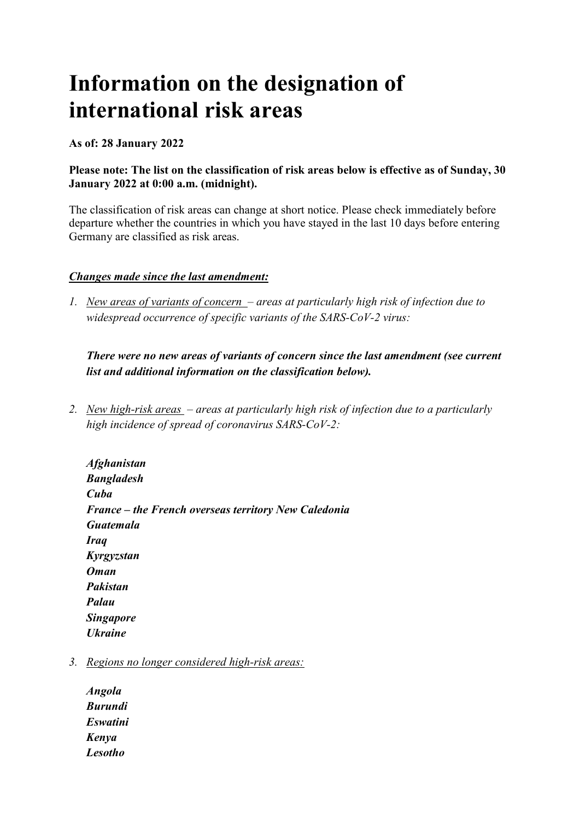# **Information on the designation of international risk areas**

**As of: 28 January 2022**

## **Please note: The list on the classification of risk areas below is effective as of Sunday, 30 January 2022 at 0:00 a.m. (midnight).**

The classification of risk areas can change at short notice. Please check immediately before departure whether the countries in which you have stayed in the last 10 days before entering Germany are classified as risk areas.

## *Changes made since the last amendment:*

*1. New areas of variants of concern – areas at particularly high risk of infection due to widespread occurrence of specific variants of the SARS-CoV-2 virus:*

# *There were no new areas of variants of concern since the last amendment (see current list and additional information on the classification below).*

*2. New high-risk areas – areas at particularly high risk of infection due to a particularly high incidence of spread of coronavirus SARS-CoV-2:*

*Afghanistan Bangladesh Cuba France – the French overseas territory New Caledonia Guatemala Iraq Kyrgyzstan Oman Pakistan Palau Singapore Ukraine*

- *3. Regions no longer considered high-risk areas:*
	- *Angola Burundi Eswatini Kenya Lesotho*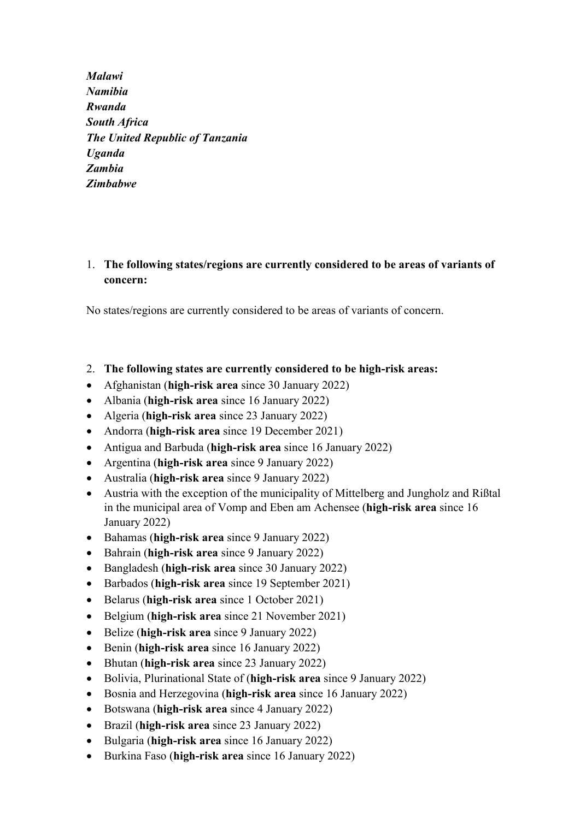*Malawi Namibia Rwanda South Africa The United Republic of Tanzania Uganda Zambia Zimbabwe*

## 1. **The following states/regions are currently considered to be areas of variants of concern:**

No states/regions are currently considered to be areas of variants of concern.

- 2. **The following states are currently considered to be high-risk areas:**
- Afghanistan (**high-risk area** since 30 January 2022)
- Albania (**high-risk area** since 16 January 2022)
- Algeria (**high-risk area** since 23 January 2022)
- Andorra (**high-risk area** since 19 December 2021)
- Antigua and Barbuda (**high-risk area** since 16 January 2022)
- Argentina (**high-risk area** since 9 January 2022)
- Australia (**high-risk area** since 9 January 2022)
- Austria with the exception of the municipality of Mittelberg and Jungholz and Rißtal in the municipal area of Vomp and Eben am Achensee (**high-risk area** since 16 January 2022)
- Bahamas (**high-risk area** since 9 January 2022)
- Bahrain (**high-risk area** since 9 January 2022)
- Bangladesh (**high-risk area** since 30 January 2022)
- Barbados (**high-risk area** since 19 September 2021)
- Belarus (**high-risk area** since 1 October 2021)
- Belgium (**high-risk area** since 21 November 2021)
- Belize (**high-risk area** since 9 January 2022)
- Benin (**high-risk area** since 16 January 2022)
- Bhutan (**high-risk area** since 23 January 2022)
- Bolivia, Plurinational State of (**high-risk area** since 9 January 2022)
- Bosnia and Herzegovina (**high-risk area** since 16 January 2022)
- Botswana (**high-risk area** since 4 January 2022)
- Brazil (**high-risk area** since 23 January 2022)
- Bulgaria (**high-risk area** since 16 January 2022)
- Burkina Faso (**high-risk area** since 16 January 2022)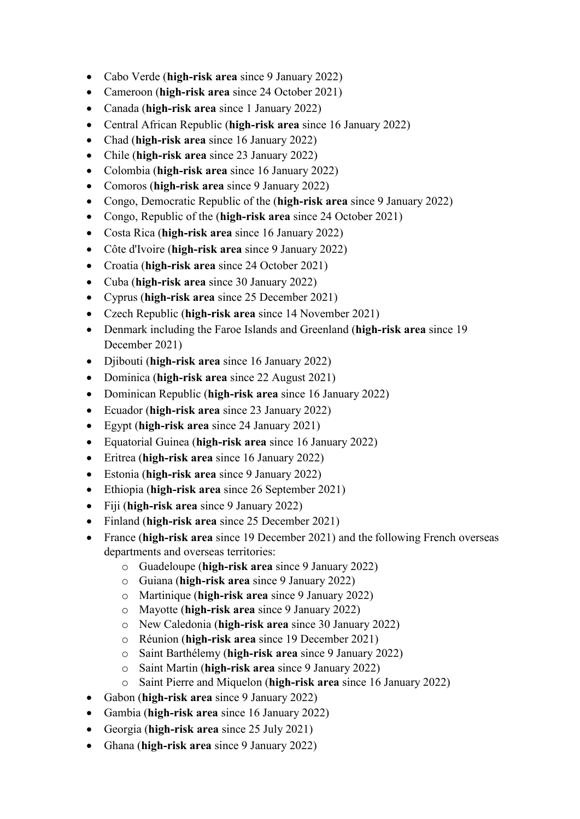- Cabo Verde (**high-risk area** since 9 January 2022)
- Cameroon (**high-risk area** since 24 October 2021)
- Canada (**high-risk area** since 1 January 2022)
- Central African Republic (**high-risk area** since 16 January 2022)
- Chad (**high-risk area** since 16 January 2022)
- Chile (**high-risk area** since 23 January 2022)
- Colombia (**high-risk area** since 16 January 2022)
- Comoros (**high-risk area** since 9 January 2022)
- Congo, Democratic Republic of the (**high-risk area** since 9 January 2022)
- Congo, Republic of the (**high-risk area** since 24 October 2021)
- Costa Rica (**high-risk area** since 16 January 2022)
- Côte d'Ivoire (**high-risk area** since 9 January 2022)
- Croatia (**high-risk area** since 24 October 2021)
- Cuba (**high-risk area** since 30 January 2022)
- Cyprus (**high-risk area** since 25 December 2021)
- Czech Republic (**high-risk area** since 14 November 2021)
- Denmark including the Faroe Islands and Greenland (**high-risk area** since 19 December 2021)
- Djibouti (**high-risk area** since 16 January 2022)
- Dominica (**high-risk area** since 22 August 2021)
- Dominican Republic (**high-risk area** since 16 January 2022)
- Ecuador (**high-risk area** since 23 January 2022)
- Egypt (**high-risk area** since 24 January 2021)
- Equatorial Guinea (**high-risk area** since 16 January 2022)
- Eritrea (**high-risk area** since 16 January 2022)
- Estonia (**high-risk area** since 9 January 2022)
- Ethiopia (**high-risk area** since 26 September 2021)
- Fiji (**high-risk area** since 9 January 2022)
- Finland (**high-risk area** since 25 December 2021)
- France (**high-risk area** since 19 December 2021) and the following French overseas departments and overseas territories:
	- o Guadeloupe (**high-risk area** since 9 January 2022)
	- o Guiana (**high-risk area** since 9 January 2022)
	- o Martinique (**high-risk area** since 9 January 2022)
	- o Mayotte (**high-risk area** since 9 January 2022)
	- o New Caledonia (**high-risk area** since 30 January 2022)
	- o Réunion (**high-risk area** since 19 December 2021)
	- o Saint Barthélemy (**high-risk area** since 9 January 2022)
	- o Saint Martin (**high-risk area** since 9 January 2022)
	- o Saint Pierre and Miquelon (**high-risk area** since 16 January 2022)
- Gabon (**high-risk area** since 9 January 2022)
- Gambia (**high-risk area** since 16 January 2022)
- Georgia (**high-risk area** since 25 July 2021)
- Ghana (**high-risk area** since 9 January 2022)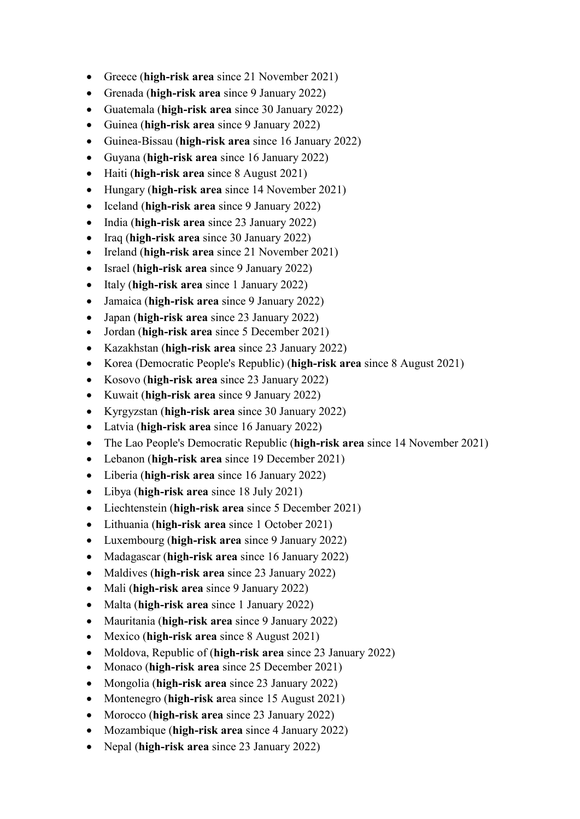- Greece (**high-risk area** since 21 November 2021)
- Grenada (**high-risk area** since 9 January 2022)
- Guatemala (**high-risk area** since 30 January 2022)
- Guinea (**high-risk area** since 9 January 2022)
- Guinea-Bissau (**high-risk area** since 16 January 2022)
- Guyana (**high-risk area** since 16 January 2022)
- Haiti (**high-risk area** since 8 August 2021)
- Hungary (**high-risk area** since 14 November 2021)
- Iceland (**high-risk area** since 9 January 2022)
- India (**high-risk area** since 23 January 2022)
- Iraq (**high-risk area** since 30 January 2022)
- Ireland (**high-risk area** since 21 November 2021)
- Israel (**high-risk area** since 9 January 2022)
- Italy (**high-risk area** since 1 January 2022)
- Jamaica (**high-risk area** since 9 January 2022)
- Japan (**high-risk area** since 23 January 2022)
- Jordan (**high-risk area** since 5 December 2021)
- Kazakhstan (**high-risk area** since 23 January 2022)
- Korea (Democratic People's Republic) (**high-risk area** since 8 August 2021)
- Kosovo (**high-risk area** since 23 January 2022)
- Kuwait (**high-risk area** since 9 January 2022)
- Kyrgyzstan (**high-risk area** since 30 January 2022)
- Latvia (**high-risk area** since 16 January 2022)
- The Lao People's Democratic Republic (**high-risk area** since 14 November 2021)
- Lebanon (**high-risk area** since 19 December 2021)
- Liberia (**high-risk area** since 16 January 2022)
- Libya (**high-risk area** since 18 July 2021)
- Liechtenstein (**high-risk area** since 5 December 2021)
- Lithuania (**high-risk area** since 1 October 2021)
- Luxembourg (**high-risk area** since 9 January 2022)
- Madagascar (**high-risk area** since 16 January 2022)
- Maldives (**high-risk area** since 23 January 2022)
- Mali (**high-risk area** since 9 January 2022)
- Malta (**high-risk area** since 1 January 2022)
- Mauritania (**high-risk area** since 9 January 2022)
- Mexico (**high-risk area** since 8 August 2021)
- Moldova, Republic of (**high-risk area** since 23 January 2022)
- Monaco (**high-risk area** since 25 December 2021)
- Mongolia (**high-risk area** since 23 January 2022)
- Montenegro (**high-risk a**rea since 15 August 2021)
- Morocco (**high-risk area** since 23 January 2022)
- Mozambique (**high-risk area** since 4 January 2022)
- Nepal (**high-risk area** since 23 January 2022)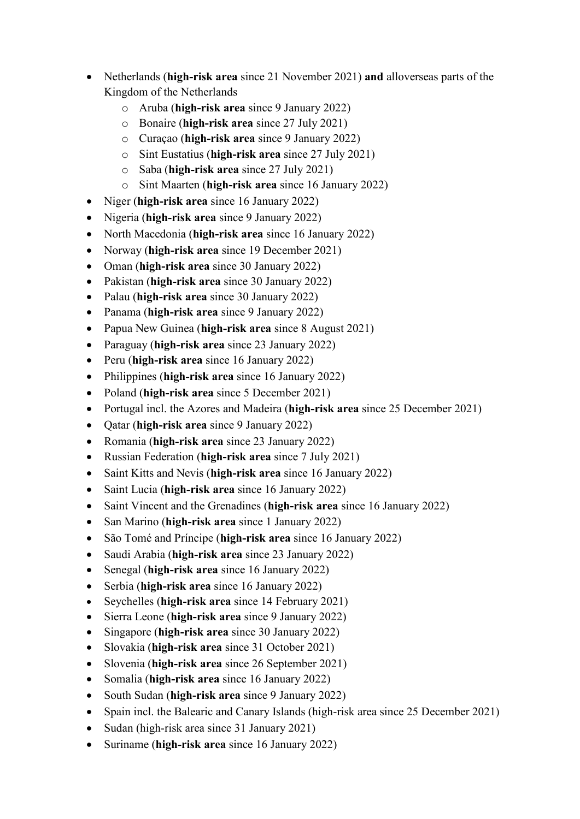- Netherlands (**high-risk area** since 21 November 2021) **and** alloverseas parts of the Kingdom of the Netherlands
	- o Aruba (**high-risk area** since 9 January 2022)
	- o Bonaire (**high-risk area** since 27 July 2021)
	- o Curaçao (**high-risk area** since 9 January 2022)
	- o Sint Eustatius (**high-risk area** since 27 July 2021)
	- o Saba (**high-risk area** since 27 July 2021)
	- o Sint Maarten (**high-risk area** since 16 January 2022)
- Niger (**high-risk area** since 16 January 2022)
- Nigeria (**high-risk area** since 9 January 2022)
- North Macedonia (**high-risk area** since 16 January 2022)
- Norway (**high-risk area** since 19 December 2021)
- Oman (**high-risk area** since 30 January 2022)
- Pakistan (**high-risk area** since 30 January 2022)
- Palau (**high-risk area** since 30 January 2022)
- Panama (**high-risk area** since 9 January 2022)
- Papua New Guinea (**high-risk area** since 8 August 2021)
- Paraguay (**high-risk area** since 23 January 2022)
- Peru (**high-risk area** since 16 January 2022)
- Philippines (**high-risk area** since 16 January 2022)
- Poland (**high-risk area** since 5 December 2021)
- Portugal incl. the Azores and Madeira (**high-risk area** since 25 December 2021)
- Qatar (**high-risk area** since 9 January 2022)
- Romania (**high-risk area** since 23 January 2022)
- Russian Federation (**high-risk area** since 7 July 2021)
- Saint Kitts and Nevis (**high-risk area** since 16 January 2022)
- Saint Lucia (**high-risk area** since 16 January 2022)
- Saint Vincent and the Grenadines (**high-risk area** since 16 January 2022)
- San Marino (**high-risk area** since 1 January 2022)
- São Tomé and Príncipe (**high-risk area** since 16 January 2022)
- Saudi Arabia (**high-risk area** since 23 January 2022)
- Senegal (**high-risk area** since 16 January 2022)
- Serbia (**high-risk area** since 16 January 2022)
- Seychelles (**high-risk area** since 14 February 2021)
- Sierra Leone (**high-risk area** since 9 January 2022)
- Singapore (**high-risk area** since 30 January 2022)
- Slovakia (**high-risk area** since 31 October 2021)
- Slovenia (**high-risk area** since 26 September 2021)
- Somalia (**high-risk area** since 16 January 2022)
- South Sudan (**high-risk area** since 9 January 2022)
- Spain incl. the Balearic and Canary Islands (high-risk area since 25 December 2021)
- Sudan (high-risk area since 31 January 2021)
- Suriname (**high-risk area** since 16 January 2022)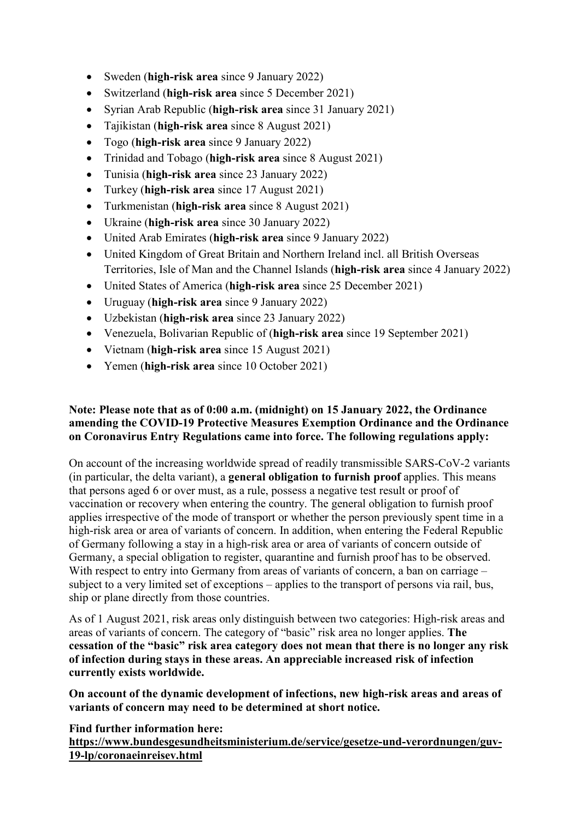- Sweden (**high-risk area** since 9 January 2022)
- Switzerland (**high-risk area** since 5 December 2021)
- Syrian Arab Republic (**high-risk area** since 31 January 2021)
- Tajikistan (**high-risk area** since 8 August 2021)
- Togo (**high-risk area** since 9 January 2022)
- Trinidad and Tobago (**high-risk area** since 8 August 2021)
- Tunisia (**high-risk area** since 23 January 2022)
- Turkey (**high-risk area** since 17 August 2021)
- Turkmenistan (**high-risk area** since 8 August 2021)
- Ukraine (**high-risk area** since 30 January 2022)
- United Arab Emirates (**high-risk area** since 9 January 2022)
- United Kingdom of Great Britain and Northern Ireland incl. all British Overseas Territories, Isle of Man and the Channel Islands (**high-risk area** since 4 January 2022)
- United States of America (**high-risk area** since 25 December 2021)
- Uruguay (**high-risk area** since 9 January 2022)
- Uzbekistan (**high-risk area** since 23 January 2022)
- Venezuela, Bolivarian Republic of (**high-risk area** since 19 September 2021)
- Vietnam (**high-risk area** since 15 August 2021)
- Yemen (**high-risk area** since 10 October 2021)

## **Note: Please note that as of 0:00 a.m. (midnight) on 15 January 2022, the Ordinance amending the COVID-19 Protective Measures Exemption Ordinance and the Ordinance on Coronavirus Entry Regulations came into force. The following regulations apply:**

On account of the increasing worldwide spread of readily transmissible SARS-CoV-2 variants (in particular, the delta variant), a **general obligation to furnish proof** applies. This means that persons aged 6 or over must, as a rule, possess a negative test result or proof of vaccination or recovery when entering the country. The general obligation to furnish proof applies irrespective of the mode of transport or whether the person previously spent time in a high-risk area or area of variants of concern. In addition, when entering the Federal Republic of Germany following a stay in a high-risk area or area of variants of concern outside of Germany, a special obligation to register, quarantine and furnish proof has to be observed. With respect to entry into Germany from areas of variants of concern, a ban on carriage – subject to a very limited set of exceptions – applies to the transport of persons via rail, bus, ship or plane directly from those countries.

As of 1 August 2021, risk areas only distinguish between two categories: High-risk areas and areas of variants of concern. The category of "basic" risk area no longer applies. **The cessation of the "basic" risk area category does not mean that there is no longer any risk of infection during stays in these areas. An appreciable increased risk of infection currently exists worldwide.** 

**On account of the dynamic development of infections, new high-risk areas and areas of variants of concern may need to be determined at short notice.**

**Find further information here:**

**https://www.bundesgesundheitsministerium.de/service/gesetze-und-verordnungen/guv-19-lp/coronaeinreisev.html**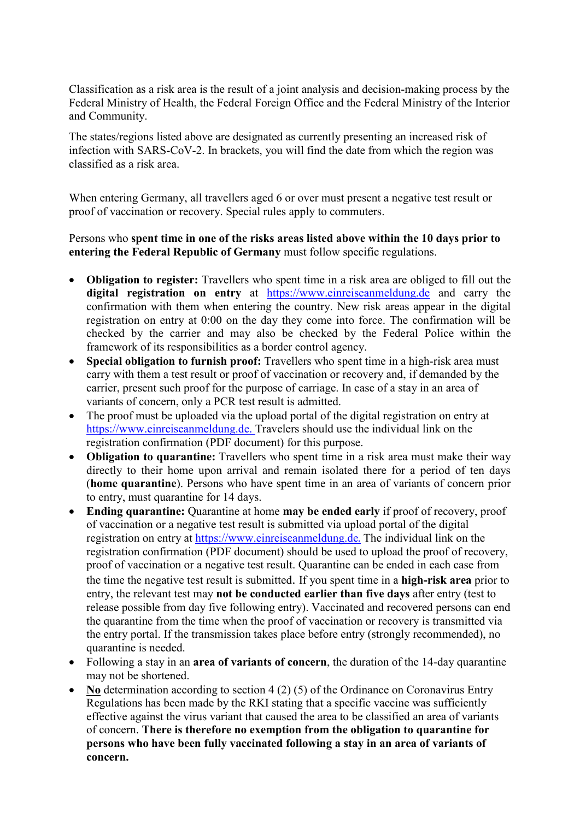Classification as a risk area is the result of a joint analysis and decision-making process by the Federal Ministry of Health, the Federal Foreign Office and the Federal Ministry of the Interior and Community.

The states/regions listed above are designated as currently presenting an increased risk of infection with SARS-CoV-2. In brackets, you will find the date from which the region was classified as a risk area.

When entering Germany, all travellers aged 6 or over must present a negative test result or proof of vaccination or recovery. Special rules apply to commuters.

#### Persons who **spent time in one of the risks areas listed above within the 10 days prior to entering the Federal Republic of Germany** must follow specific regulations.

- **Obligation to register:** Travellers who spent time in a risk area are obliged to fill out the **digital registration on entry** at [https://www.einreiseanmeldung.de](https://www.einreiseanmeldung.de/) and carry the confirmation with them when entering the country. New risk areas appear in the digital registration on entry at 0:00 on the day they come into force. The confirmation will be checked by the carrier and may also be checked by the Federal Police within the framework of its responsibilities as a border control agency.
- **Special obligation to furnish proof:** Travellers who spent time in a high-risk area must carry with them a test result or proof of vaccination or recovery and, if demanded by the carrier, present such proof for the purpose of carriage. In case of a stay in an area of variants of concern, only a PCR test result is admitted.
- The proof must be uploaded via the upload portal of the digital registration on entry at [https://www.einreiseanmeldung.de.](https://www.einreiseanmeldung.de/) Travelers should use the individual link on the registration confirmation (PDF document) for this purpose.
- **Obligation to quarantine:** Travellers who spent time in a risk area must make their way directly to their home upon arrival and remain isolated there for a period of ten days (**home quarantine**). Persons who have spent time in an area of variants of concern prior to entry, must quarantine for 14 days.
- **Ending quarantine:** Quarantine at home **may be ended early** if proof of recovery, proof of vaccination or a negative test result is submitted via upload portal of the digital registration on entry at [https://www.einreiseanmeldung.de](https://www.einreiseanmeldung.de/). The individual link on the registration confirmation (PDF document) should be used to upload the proof of recovery, proof of vaccination or a negative test result. Quarantine can be ended in each case from the time the negative test result is submitted. If you spent time in a **high-risk area** prior to entry, the relevant test may **not be conducted earlier than five days** after entry (test to release possible from day five following entry). Vaccinated and recovered persons can end the quarantine from the time when the proof of vaccination or recovery is transmitted via the entry portal. If the transmission takes place before entry (strongly recommended), no quarantine is needed.
- Following a stay in an **area of variants of concern**, the duration of the 14-day quarantine may not be shortened.
- **No** determination according to section 4 (2) (5) of the Ordinance on Coronavirus Entry Regulations has been made by the RKI stating that a specific vaccine was sufficiently effective against the virus variant that caused the area to be classified an area of variants of concern. **There is therefore no exemption from the obligation to quarantine for persons who have been fully vaccinated following a stay in an area of variants of concern.**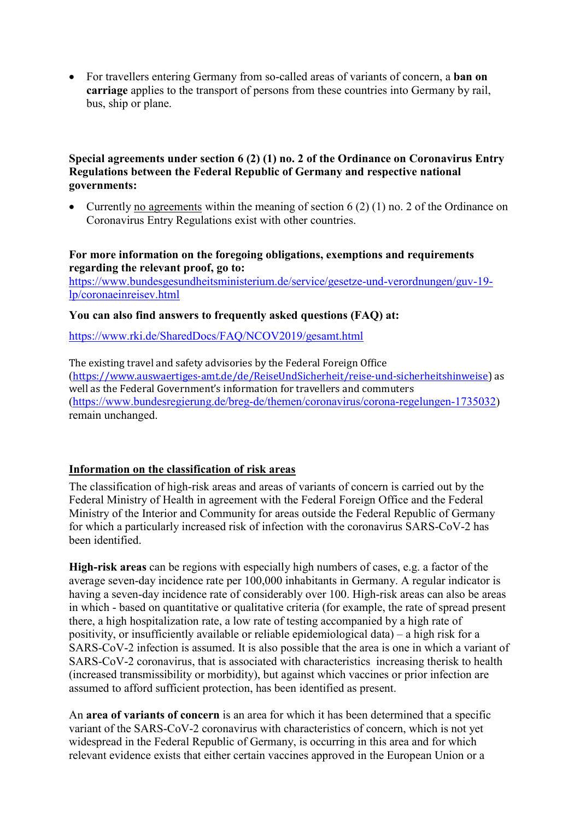• For travellers entering Germany from so-called areas of variants of concern, a **ban on carriage** applies to the transport of persons from these countries into Germany by rail, bus, ship or plane.

#### **Special agreements under section 6 (2) (1) no. 2 of the Ordinance on Coronavirus Entry Regulations between the Federal Republic of Germany and respective national governments:**

• Currently no agreements within the meaning of section 6 (2) (1) no. 2 of the Ordinance on Coronavirus Entry Regulations exist with other countries.

#### **For more information on the foregoing obligations, exemptions and requirements regarding the relevant proof, go to:**

[https://www.bundesgesundheitsministerium.de/service/gesetze-und-verordnungen/guv-19](https://www.bundesgesundheitsministerium.de/service/gesetze-und-verordnungen/guv-19-lp/coronaeinreisev.html) [lp/coronaeinreisev.html](https://www.bundesgesundheitsministerium.de/service/gesetze-und-verordnungen/guv-19-lp/coronaeinreisev.html)

### **You can also find answers to frequently asked questions (FAQ) at:**

<https://www.rki.de/SharedDocs/FAQ/NCOV2019/gesamt.html>

The existing travel and safety advisories by the Federal Foreign Office (https://www.auswaertiges-amt.de/de/ReiseUndSicherheit/reise-und-sicherheitshinweise) as well as the Federal Government's information for travellers and commuters (https://www.bundesregierung.de/breg-de/themen/coronavirus/corona-regelungen-1735032) remain unchanged.

### **Information on the classification of risk areas**

The classification of high-risk areas and areas of variants of concern is carried out by the Federal Ministry of Health in agreement with the Federal Foreign Office and the Federal Ministry of the Interior and Community for areas outside the Federal Republic of Germany for which a particularly increased risk of infection with the coronavirus SARS-CoV-2 has been identified.

**High-risk areas** can be regions with especially high numbers of cases, e.g. a factor of the average seven-day incidence rate per 100,000 inhabitants in Germany. A regular indicator is having a seven-day incidence rate of considerably over 100. High-risk areas can also be areas in which - based on quantitative or qualitative criteria (for example, the rate of spread present there, a high hospitalization rate, a low rate of testing accompanied by a high rate of positivity, or insufficiently available or reliable epidemiological data) – a high risk for a SARS-CoV-2 infection is assumed. It is also possible that the area is one in which a variant of SARS-CoV-2 coronavirus, that is associated with characteristics increasing therisk to health (increased transmissibility or morbidity), but against which vaccines or prior infection are assumed to afford sufficient protection, has been identified as present.

An **area of variants of concern** is an area for which it has been determined that a specific variant of the SARS-CoV-2 coronavirus with characteristics of concern, which is not yet widespread in the Federal Republic of Germany, is occurring in this area and for which relevant evidence exists that either certain vaccines approved in the European Union or a